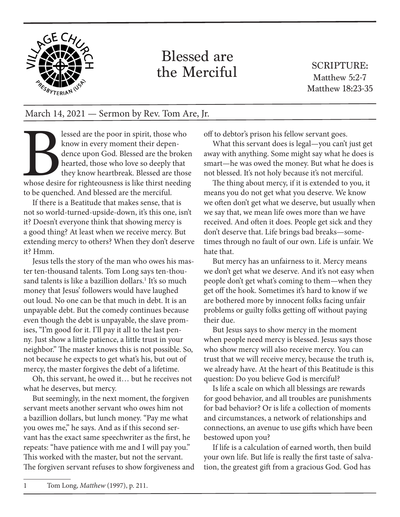

## Blessed are the Merciful

SCRIPTURE: Matthew 5:2-7 Matthew 18:23-35

## March 14, 2021 — Sermon by Rev. Tom Are, Jr.

lessed are the poor in spirit, those who<br>know in every moment their depen-<br>dence upon God. Blessed are the broke:<br>hearted, those who love so deeply that<br>they know heartbreak. Blessed are those<br>whose desire for righteousnes know in every moment their dependence upon God. Blessed are the broken hearted, those who love so deeply that they know heartbreak. Blessed are those whose desire for righteousness is like thirst needing to be quenched. And blessed are the merciful.

If there is a Beatitude that makes sense, that is not so world-turned-upside-down, it's this one, isn't it? Doesn't everyone think that showing mercy is a good thing? At least when we receive mercy. But extending mercy to others? When they don't deserve it? Hmm.

Jesus tells the story of the man who owes his master ten-thousand talents. Tom Long says ten-thousand talents is like a bazillion dollars.<sup>1</sup> It's so much money that Jesus' followers would have laughed out loud. No one can be that much in debt. It is an unpayable debt. But the comedy continues because even though the debt is unpayable, the slave promises, "I'm good for it. I'll pay it all to the last penny. Just show a little patience, a little trust in your neighbor." The master knows this is not possible. So, not because he expects to get what's his, but out of mercy, the master forgives the debt of a lifetime.

Oh, this servant, he owed it… but he receives not what he deserves, but mercy.

But seemingly, in the next moment, the forgiven servant meets another servant who owes him not a bazillion dollars, but lunch money. "Pay me what you owes me," he says. And as if this second servant has the exact same speechwriter as the first, he repeats: "have patience with me and I will pay you." This worked with the master, but not the servant. The forgiven servant refuses to show forgiveness and off to debtor's prison his fellow servant goes.

What this servant does is legal—you can't just get away with anything. Some might say what he does is smart—he was owed the money. But what he does is not blessed. It's not holy because it's not merciful.

The thing about mercy, if it is extended to you, it means you do not get what you deserve. We know we often don't get what we deserve, but usually when we say that, we mean life owes more than we have received. And often it does. People get sick and they don't deserve that. Life brings bad breaks—sometimes through no fault of our own. Life is unfair. We hate that.

But mercy has an unfairness to it. Mercy means we don't get what we deserve. And it's not easy when people don't get what's coming to them—when they get off the hook. Sometimes it's hard to know if we are bothered more by innocent folks facing unfair problems or guilty folks getting off without paying their due.

But Jesus says to show mercy in the moment when people need mercy is blessed. Jesus says those who show mercy will also receive mercy. You can trust that we will receive mercy, because the truth is, we already have. At the heart of this Beatitude is this question: Do you believe God is merciful?

Is life a scale on which all blessings are rewards for good behavior, and all troubles are punishments for bad behavior? Or is life a collection of moments and circumstances, a network of relationships and connections, an avenue to use gifts which have been bestowed upon you?

If life is a calculation of earned worth, then build your own life. But life is really the first taste of salvation, the greatest gift from a gracious God. God has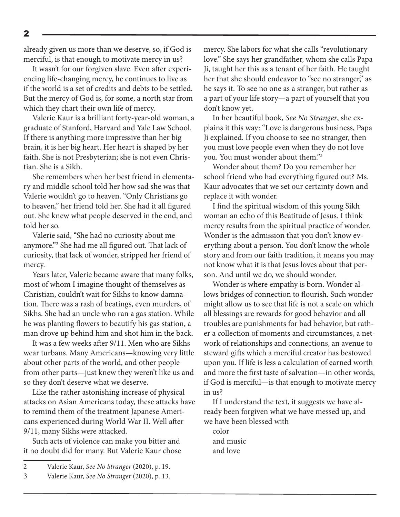already given us more than we deserve, so, if God is merciful, is that enough to motivate mercy in us?

It wasn't for our forgiven slave. Even after experiencing life-changing mercy, he continues to live as if the world is a set of credits and debts to be settled. But the mercy of God is, for some, a north star from which they chart their own life of mercy.

Valerie Kaur is a brilliant forty-year-old woman, a graduate of Stanford, Harvard and Yale Law School. If there is anything more impressive than her big brain, it is her big heart. Her heart is shaped by her faith. She is not Presbyterian; she is not even Christian. She is a Sikh.

She remembers when her best friend in elementary and middle school told her how sad she was that Valerie wouldn't go to heaven. "Only Christians go to heaven," her friend told her. She had it all figured out. She knew what people deserved in the end, and told her so.

Valerie said, "She had no curiosity about me anymore."2 She had me all figured out. That lack of curiosity, that lack of wonder, stripped her friend of mercy.

Years later, Valerie became aware that many folks, most of whom I imagine thought of themselves as Christian, couldn't wait for Sikhs to know damnation. There was a rash of beatings, even murders, of Sikhs. She had an uncle who ran a gas station. While he was planting flowers to beautify his gas station, a man drove up behind him and shot him in the back.

It was a few weeks after 9/11. Men who are Sikhs wear turbans. Many Americans—knowing very little about other parts of the world, and other people from other parts—just knew they weren't like us and so they don't deserve what we deserve.

Like the rather astonishing increase of physical attacks on Asian Americans today, these attacks have to remind them of the treatment Japanese Americans experienced during World War II. Well after 9/11, many Sikhs were attacked.

Such acts of violence can make you bitter and it no doubt did for many. But Valerie Kaur chose mercy. She labors for what she calls "revolutionary love." She says her grandfather, whom she calls Papa Ji, taught her this as a tenant of her faith. He taught her that she should endeavor to "see no stranger," as he says it. To see no one as a stranger, but rather as a part of your life story—a part of yourself that you don't know yet.

In her beautiful book, *See No Stranger*, she explains it this way: "Love is dangerous business, Papa Ji explained. If you choose to see no stranger, then you must love people even when they do not love you. You must wonder about them."3

Wonder about them? Do you remember her school friend who had everything figured out? Ms. Kaur advocates that we set our certainty down and replace it with wonder.

I find the spiritual wisdom of this young Sikh woman an echo of this Beatitude of Jesus. I think mercy results from the spiritual practice of wonder. Wonder is the admission that you don't know everything about a person. You don't know the whole story and from our faith tradition, it means you may not know what it is that Jesus loves about that person. And until we do, we should wonder.

Wonder is where empathy is born. Wonder allows bridges of connection to flourish. Such wonder might allow us to see that life is not a scale on which all blessings are rewards for good behavior and all troubles are punishments for bad behavior, but rather a collection of moments and circumstances, a network of relationships and connections, an avenue to steward gifts which a merciful creator has bestowed upon you. If life is less a calculation of earned worth and more the first taste of salvation—in other words, if God is merciful—is that enough to motivate mercy in us?

If I understand the text, it suggests we have already been forgiven what we have messed up, and we have been blessed with

color and music and love

<sup>2</sup> Valerie Kaur, *See No Stranger* (2020), p. 19.

<sup>3</sup> Valerie Kaur, *See No Stranger* (2020), p. 13.